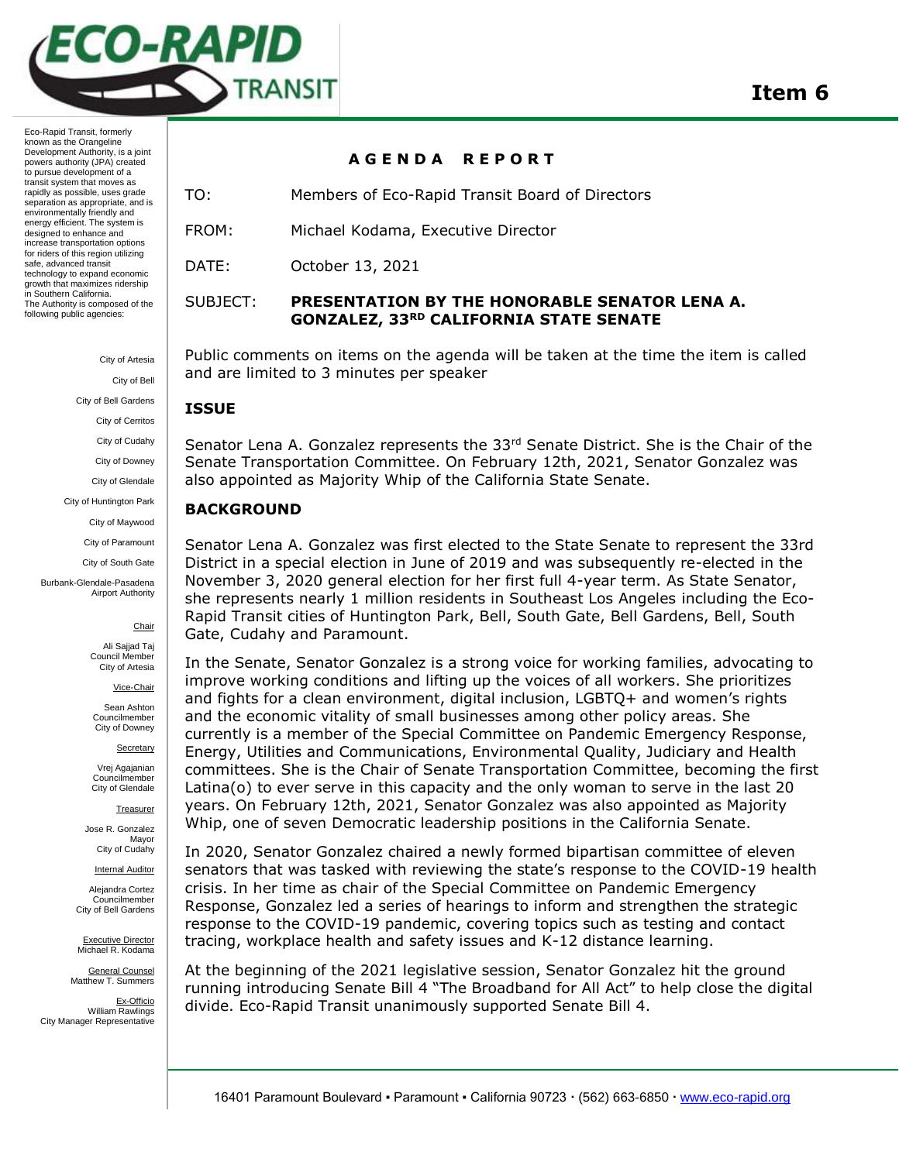

Eco-Rapid Transit, formerly known as the Orangeline Development Authority, is a joint powers authority (JPA) created to pursue development of a transit system that moves as rapidly as possible, uses grade separation as appropriate, and is environmentally friendly and energy efficient. The system is designed to enhance and increase transportation options for riders of this region utilizing safe, advanced transit technology to expand economic growth that maximizes ridership in Southern California. The Authority is composed of the following public agencies:

> City of Artesia City of Bell City of Bell Gardens City of Cerritos City of Cudahy

City of Downey

City of Glendale

City of Huntington Park

City of Maywood

City of Paramount City of South Gate

Burbank-Glendale-Pasadena Airport Authority

**Chair** 

Ali Sajjad Taj Council Member City of Artesia

Vice-Chair

Sean Ashton Councilmember City of Downey

**Secretary** 

Vrej Agajanian Councilmember City of Glendale

**Treasurer** 

Jose R. Gonzalez Mayor City of Cudahy

**Internal Auditor** 

Alejandra Cortez Councilmember City of Bell Gardens

Executive Director Michael R. Kodama

General Counsel Matthew T. Summers

Ex-Officio William Rawlings City Manager Representative

**A G E N D A R E P O R T** 

TO: Members of Eco-Rapid Transit Board of Directors

FROM: Michael Kodama, Executive Director

DATE: October 13, 2021

# SUBJECT: **PRESENTATION BY THE HONORABLE SENATOR LENA A. GONZALEZ, 33RD CALIFORNIA STATE SENATE**

Public comments on items on the agenda will be taken at the time the item is called and are limited to 3 minutes per speaker

## **ISSUE**

Senator Lena A. Gonzalez represents the 33<sup>rd</sup> Senate District. She is the Chair of the Senate Transportation Committee. On February 12th, 2021, Senator Gonzalez was also appointed as Majority Whip of the California State Senate.

## **BACKGROUND**

Senator Lena A. Gonzalez was first elected to the State Senate to represent the 33rd District in a special election in June of 2019 and was subsequently re-elected in the November 3, 2020 general election for her first full 4-year term. As State Senator, she represents nearly 1 million residents in Southeast Los Angeles including the Eco-Rapid Transit cities of Huntington Park, Bell, South Gate, Bell Gardens, Bell, South Gate, Cudahy and Paramount.

In the Senate, Senator Gonzalez is a strong voice for working families, advocating to improve working conditions and lifting up the voices of all workers. She prioritizes and fights for a clean environment, digital inclusion, LGBTQ+ and women's rights and the economic vitality of small businesses among other policy areas. She currently is a member of the Special Committee on Pandemic Emergency Response, Energy, Utilities and Communications, Environmental Quality, Judiciary and Health committees. She is the Chair of Senate Transportation Committee, becoming the first Latina(o) to ever serve in this capacity and the only woman to serve in the last 20 years. On February 12th, 2021, Senator Gonzalez was also appointed as Majority Whip, one of seven Democratic leadership positions in the California Senate.

In 2020, Senator Gonzalez chaired a newly formed bipartisan committee of eleven senators that was tasked with reviewing the state's response to the COVID-19 health crisis. In her time as chair of the Special Committee on Pandemic Emergency Response, Gonzalez led a series of hearings to inform and strengthen the strategic response to the COVID-19 pandemic, covering topics such as testing and contact tracing, workplace health and safety issues and K-12 distance learning.

At the beginning of the 2021 legislative session, Senator Gonzalez hit the ground running introducing Senate Bill 4 "The Broadband for All Act" to help close the digital divide. Eco-Rapid Transit unanimously supported Senate Bill 4.